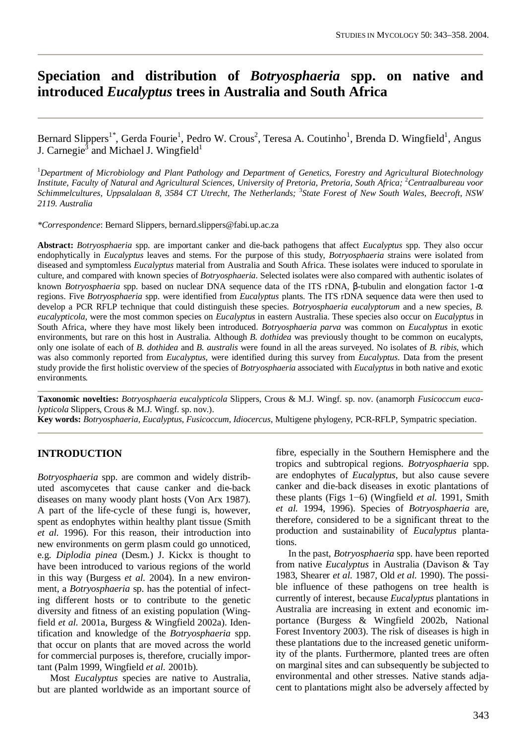# **Speciation and distribution of** *Botryosphaeria* **spp. on native and introduced** *Eucalyptus* **trees in Australia and South Africa**

Bernard Slippers<sup>1\*</sup>, Gerda Fourie<sup>1</sup>, Pedro W. Crous<sup>2</sup>, Teresa A. Coutinho<sup>1</sup>, Brenda D. Wingfield<sup>1</sup>, Angus J. Carnegie<sup>3</sup> and Michael J. Wingfield<sup>1</sup>

<sup>1</sup>*Department of Microbiology and Plant Pathology and Department of Genetics, Forestry and Agricultural Biotechnology Institute, Faculty of Natural and Agricultural Sciences, University of Pretoria, Pretoria, South Africa;* <sup>2</sup>*Centraalbureau voor Schimmelcultures, Uppsalalaan 8, 3584 CT Utrecht, The Netherlands;* <sup>3</sup> *State Forest of New South Wales, Beecroft, NSW 2119. Australia*

*\*Correspondence*: Bernard Slippers, [bernard.slippers@fabi.up.ac.za](mailto:bernard.slippers@fabi.up.ac.za)

**Abstract:** *Botryosphaeria* spp. are important canker and die-back pathogens that affect *Eucalyptus* spp. They also occur endophytically in *Eucalyptus* leaves and stems. For the purpose of this study, *Botryosphaeria* strains were isolated from diseased and symptomless *Eucalyptus* material from Australia and South Africa. These isolates were induced to sporulate in culture, and compared with known species of *Botryosphaeria*. Selected isolates were also compared with authentic isolates of known *Botryosphaeria* spp. based on nuclear DNA sequence data of the ITS rDNA, β-tubulin and elongation factor 1-α regions. Five *Botryosphaeria* spp. were identified from *Eucalyptus* plants. The ITS rDNA sequence data were then used to develop a PCR RFLP technique that could distinguish these species. *Botryosphaeria eucalyptorum* and a new species, *B. eucalypticola*, were the most common species on *Eucalyptus* in eastern Australia. These species also occur on *Eucalyptus* in South Africa, where they have most likely been introduced. *Botryosphaeria parva* was common on *Eucalyptus* in exotic environments, but rare on this host in Australia. Although *B. dothidea* was previously thought to be common on eucalypts, only one isolate of each of *B. dothidea* and *B. australis* were found in all the areas surveyed. No isolates of *B. ribis*, which was also commonly reported from *Eucalyptus*, were identified during this survey from *Eucalyptus*. Data from the present study provide the first holistic overview of the species of *Botryosphaeria* associated with *Eucalyptus* in both native and exotic environments.

**Taxonomic novelties:** *Botryosphaeria eucalypticola* Slippers, Crous & M.J. Wingf. sp. nov. (anamorph *Fusicoccum eucalypticola* Slippers, Crous & M.J. Wingf. sp. nov.).

**Key words:** *Botryosphaeria*, *Eucalyptus*, *Fusicoccum*, *Idiocercus*, Multigene phylogeny, PCR-RFLP, Sympatric speciation.

## **INTRODUCTION**

*Botryosphaeria* spp. are common and widely distributed ascomycetes that cause canker and die-back diseases on many woody plant hosts (Von Arx 1987). A part of the life-cycle of these fungi is, however, spent as endophytes within healthy plant tissue (Smith *et al.* 1996). For this reason, their introduction into new environments on germ plasm could go unnoticed, e.g. *Diplodia pinea* (Desm.) J. Kickx is thought to have been introduced to various regions of the world in this way (Burgess *et al.* 2004). In a new environment, a *Botryosphaeria* sp. has the potential of infecting different hosts or to contribute to the genetic diversity and fitness of an existing population (Wingfield *et al.* 2001a, Burgess & Wingfield 2002a). Identification and knowledge of the *Botryosphaeria* spp. that occur on plants that are moved across the world for commercial purposes is, therefore, crucially important (Palm 1999, Wingfield *et al.* 2001b).

 Most *Eucalyptus* species are native to Australia, but are planted worldwide as an important source of fibre, especially in the Southern Hemisphere and the tropics and subtropical regions. *Botryosphaeria* spp. are endophytes of *Eucalyptus*, but also cause severe canker and die-back diseases in exotic plantations of these plants (Figs  $1-6$ ) (Wingfield *et al.* 1991, Smith *et al.* 1994, 1996). Species of *Botryosphaeria* are, therefore, considered to be a significant threat to the production and sustainability of *Eucalyptus* plantations.

 In the past, *Botryosphaeria* spp. have been reported from native *Eucalyptus* in Australia (Davison & Tay 1983, Shearer *et al.* 1987, Old *et al.* 1990). The possible influence of these pathogens on tree health is currently of interest, because *Eucalyptus* plantations in Australia are increasing in extent and economic importance (Burgess & Wingfield 2002b, National Forest Inventory 2003). The risk of diseases is high in these plantations due to the increased genetic uniformity of the plants. Furthermore, planted trees are often on marginal sites and can subsequently be subjected to environmental and other stresses. Native stands adjacent to plantations might also be adversely affected by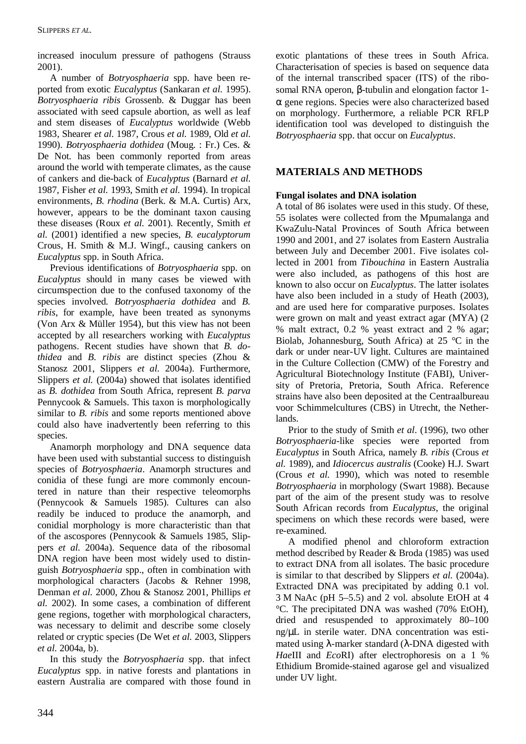increased inoculum pressure of pathogens (Strauss 2001).

 A number of *Botryosphaeria* spp. have been reported from exotic *Eucalyptus* (Sankaran *et al.* 1995). *Botryosphaeria ribis* Grossenb. & Duggar has been associated with seed capsule abortion, as well as leaf and stem diseases of *Eucalyptus* worldwide (Webb 1983, Shearer *et al.* 1987, Crous *et al.* 1989, Old *et al.* 1990). *Botryosphaeria dothidea* (Moug. : Fr.) Ces. & De Not. has been commonly reported from areas around the world with temperate climates, as the cause of cankers and die-back of *Eucalyptus* (Barnard *et al.* 1987, Fisher *et al.* 1993, Smith *et al.* 1994). In tropical environments, *B. rhodina* (Berk. & M.A. Curtis) Arx, however, appears to be the dominant taxon causing these diseases (Roux *et al.* 2001). Recently, Smith *et al.* (2001) identified a new species, *B. eucalyptorum* Crous, H. Smith & M.J. Wingf., causing cankers on *Eucalyptus* spp. in South Africa.

 Previous identifications of *Botryosphaeria* spp. on *Eucalyptus* should in many cases be viewed with circumspection due to the confused taxonomy of the species involved. *Botryosphaeria dothidea* and *B. ribis*, for example, have been treated as synonyms (Von Arx & Müller 1954), but this view has not been accepted by all researchers working with *Eucalyptus* pathogens. Recent studies have shown that *B. dothidea* and *B. ribis* are distinct species (Zhou & Stanosz 2001, Slippers *et al.* 2004a). Furthermore, Slippers *et al.* (2004a) showed that isolates identified as *B. dothidea* from South Africa, represent *B. parva* Pennycook & Samuels. This taxon is morphologically similar to *B. ribis* and some reports mentioned above could also have inadvertently been referring to this species.

 Anamorph morphology and DNA sequence data have been used with substantial success to distinguish species of *Botryosphaeria*. Anamorph structures and conidia of these fungi are more commonly encountered in nature than their respective teleomorphs (Pennycook & Samuels 1985). Cultures can also readily be induced to produce the anamorph, and conidial morphology is more characteristic than that of the ascospores (Pennycook & Samuels 1985, Slippers *et al.* 2004a). Sequence data of the ribosomal DNA region have been most widely used to distinguish *Botryosphaeria* spp., often in combination with morphological characters (Jacobs & Rehner 1998, Denman *et al.* 2000, Zhou & Stanosz 2001, Phillips *et al.* 2002). In some cases, a combination of different gene regions, together with morphological characters, was necessary to delimit and describe some closely related or cryptic species (De Wet *et al.* 2003, Slippers *et al.* 2004a, b).

 In this study the *Botryosphaeria* spp. that infect *Eucalyptus* spp. in native forests and plantations in eastern Australia are compared with those found in exotic plantations of these trees in South Africa. Characterisation of species is based on sequence data of the internal transcribed spacer (ITS) of the ribosomal RNA operon, β-tubulin and elongation factor 1 α gene regions. Species were also characterized based on morphology. Furthermore, a reliable PCR RFLP identification tool was developed to distinguish the *Botryosphaeria* spp. that occur on *Eucalyptus*.

# **MATERIALS AND METHODS**

## **Fungal isolates and DNA isolation**

A total of 86 isolates were used in this study. Of these, 55 isolates were collected from the Mpumalanga and KwaZulu-Natal Provinces of South Africa between 1990 and 2001, and 27 isolates from Eastern Australia between July and December 2001. Five isolates collected in 2001 from *Tibouchina* in Eastern Australia were also included, as pathogens of this host are known to also occur on *Eucalyptus*. The latter isolates have also been included in a study of Heath (2003), and are used here for comparative purposes. Isolates were grown on malt and yeast extract agar (MYA) (2 % malt extract, 0.2 % yeast extract and 2 % agar; Biolab, Johannesburg, South Africa) at 25 °C in the dark or under near-UV light. Cultures are maintained in the Culture Collection (CMW) of the Forestry and Agricultural Biotechnology Institute (FABI), University of Pretoria, Pretoria, South Africa. Reference strains have also been deposited at the Centraalbureau voor Schimmelcultures (CBS) in Utrecht, the Netherlands.

 Prior to the study of Smith *et al*. (1996), two other *Botryosphaeria*-like species were reported from *Eucalyptus* in South Africa, namely *B. ribis* (Crous *et al.* 1989), and *Idiocercus australis* (Cooke) H.J. Swart (Crous *et al*. 1990), which was noted to resemble *Botryosphaeria* in morphology (Swart 1988). Because part of the aim of the present study was to resolve South African records from *Eucalyptus*, the original specimens on which these records were based, were re-examined.

 A modified phenol and chloroform extraction method described by Reader & Broda (1985) was used to extract DNA from all isolates. The basic procedure is similar to that described by Slippers *et al.* (2004a). Extracted DNA was precipitated by adding 0.1 vol. 3 M NaAc (pH 5–5.5) and 2 vol. absolute EtOH at 4 °C. The precipitated DNA was washed (70% EtOH), dried and resuspended to approximately 80–100 ng/μL in sterile water. DNA concentration was estimated using  $λ$ -marker standard ( $λ$ -DNA digested with *Hae*III and *Eco*RI) after electrophoresis on a 1 % Ethidium Bromide-stained agarose gel and visualized under UV light.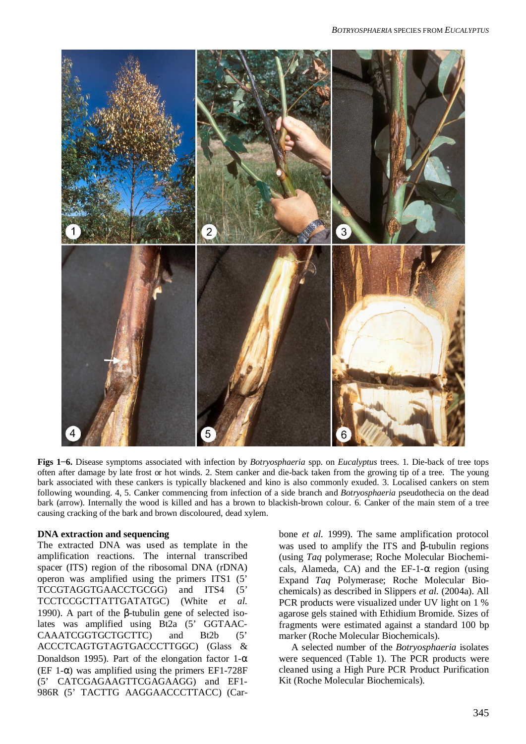

**Figs 1í6.** Disease symptoms associated with infection by *Botryosphaeria* spp. on *Eucalyptus* trees. 1. Die-back of tree tops often after damage by late frost or hot winds. 2. Stem canker and die-back taken from the growing tip of a tree. The young bark associated with these cankers is typically blackened and kino is also commonly exuded. 3. Localised cankers on stem following wounding. 4, 5. Canker commencing from infection of a side branch and *Botryosphaeria* pseudothecia on the dead bark (arrow). Internally the wood is killed and has a brown to blackish-brown colour. 6. Canker of the main stem of a tree causing cracking of the bark and brown discoloured, dead xylem.

### **DNA extraction and sequencing**

The extracted DNA was used as template in the amplification reactions. The internal transcribed spacer (ITS) region of the ribosomal DNA (rDNA) operon was amplified using the primers ITS1 (5' TCCGTAGGTGAACCTGCGG) and ITS4 (5' TCCTCCGCTTATTGATATGC) (White *et al.* 1990). A part of the β-tubulin gene of selected isolates was amplified using Bt2a (5' GGTAAC-CAAATCGGTGCTGCTTC) and Bt2b (5' ACCCTCAGTGTAGTGACCCTTGGC) (Glass & Donaldson 1995). Part of the elongation factor  $1-\alpha$ (EF 1- $\alpha$ ) was amplified using the primers EF1-728F (5' CATCGAGAAGTTCGAGAAGG) and EF1- 986R (5' TACTTG AAGGAACCCTTACC) (Carbone *et al.* 1999). The same amplification protocol was used to amplify the ITS and β-tubulin regions (using *Taq* polymerase; Roche Molecular Biochemicals, Alameda, CA) and the EF-1- $\alpha$  region (using Expand *Taq* Polymerase; Roche Molecular Biochemicals) as described in Slippers *et al.* (2004a). All PCR products were visualized under UV light on 1 % agarose gels stained with Ethidium Bromide. Sizes of fragments were estimated against a standard 100 bp marker (Roche Molecular Biochemicals).

 A selected number of the *Botryosphaeria* isolates were sequenced (Table 1). The PCR products were cleaned using a High Pure PCR Product Purification Kit (Roche Molecular Biochemicals).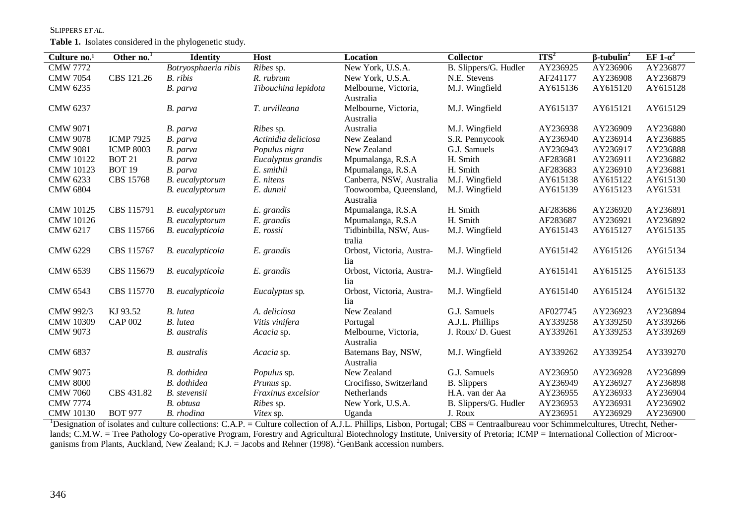#### SLIPPERS *ET AL.*

**Table 1.** Isolates considered in the phylogenetic study.

| Culture no. <sup>1</sup> | Other no. <sup>1</sup> | <b>Identity</b>      | Host                | Location                  | <b>Collector</b>      | ITS <sup>2</sup> | $\beta$ -tubulin <sup>2</sup> | EF 1- $\alpha^2$ |
|--------------------------|------------------------|----------------------|---------------------|---------------------------|-----------------------|------------------|-------------------------------|------------------|
| <b>CMW 7772</b>          |                        | Botryosphaeria ribis | Ribes sp.           | New York, U.S.A.          | B. Slippers/G. Hudler | AY236925         | AY236906                      | AY236877         |
| <b>CMW 7054</b>          | CBS 121.26             | B. ribis             | R. rubrum           | New York, U.S.A.          | N.E. Stevens          | AF241177         | AY236908                      | AY236879         |
| CMW 6235                 |                        | B. parva             | Tibouchina lepidota | Melbourne, Victoria,      | M.J. Wingfield        | AY615136         | AY615120                      | AY615128         |
|                          |                        |                      |                     | Australia                 |                       |                  |                               |                  |
| CMW 6237                 |                        | B. parva             | T. urvilleana       | Melbourne, Victoria,      | M.J. Wingfield        | AY615137         | AY615121                      | AY615129         |
|                          |                        |                      |                     | Australia                 |                       |                  |                               |                  |
| <b>CMW 9071</b>          |                        | B. parva             | <i>Ribes</i> sp.    | Australia                 | M.J. Wingfield        | AY236938         | AY236909                      | AY236880         |
| <b>CMW 9078</b>          | <b>ICMP 7925</b>       | B. parva             | Actinidia deliciosa | New Zealand               | S.R. Pennycook        | AY236940         | AY236914                      | AY236885         |
| <b>CMW 9081</b>          | <b>ICMP 8003</b>       | B. parva             | Populus nigra       | New Zealand               | G.J. Samuels          | AY236943         | AY236917                      | AY236888         |
| <b>CMW 10122</b>         | <b>BOT 21</b>          | B. parva             | Eucalyptus grandis  | Mpumalanga, R.S.A         | H. Smith              | AF283681         | AY236911                      | AY236882         |
| <b>CMW 10123</b>         | <b>BOT 19</b>          | B. parva             | E. smithii          | Mpumalanga, R.S.A         | H. Smith              | AF283683         | AY236910                      | AY236881         |
| CMW 6233                 | <b>CBS 15768</b>       | B. eucalyptorum      | E. nitens           | Canberra, NSW, Australia  | M.J. Wingfield        | AY615138         | AY615122                      | AY615130         |
| <b>CMW 6804</b>          |                        | B. eucalyptorum      | E. dunnii           | Toowoomba, Queensland,    | M.J. Wingfield        | AY615139         | AY615123                      | AY61531          |
|                          |                        |                      |                     | Australia                 |                       |                  |                               |                  |
| <b>CMW 10125</b>         | CBS 115791             | B. eucalyptorum      | E. grandis          | Mpumalanga, R.S.A         | H. Smith              | AF283686         | AY236920                      | AY236891         |
| <b>CMW</b> 10126         |                        | B. eucalyptorum      | E. grandis          | Mpumalanga, R.S.A         | H. Smith              | AF283687         | AY236921                      | AY236892         |
| CMW 6217                 | CBS 115766             | B. eucalypticola     | E. rossii           | Tidbinbilla, NSW, Aus-    | M.J. Wingfield        | AY615143         | AY615127                      | AY615135         |
|                          |                        |                      |                     | tralia                    |                       |                  |                               |                  |
| <b>CMW 6229</b>          | CBS 115767             | B. eucalypticola     | E. grandis          | Orbost, Victoria, Austra- | M.J. Wingfield        | AY615142         | AY615126                      | AY615134         |
|                          |                        |                      |                     | lia                       |                       |                  |                               |                  |
| <b>CMW 6539</b>          | CBS 115679             | B. eucalypticola     | E. grandis          | Orbost, Victoria, Austra- | M.J. Wingfield        | AY615141         | AY615125                      | AY615133         |
|                          |                        |                      |                     | lia                       |                       |                  |                               |                  |
| CMW 6543                 | CBS 115770             | B. eucalypticola     | Eucalyptus sp.      | Orbost, Victoria, Austra- | M.J. Wingfield        | AY615140         | AY615124                      | AY615132         |
|                          |                        |                      |                     | lia                       |                       |                  |                               |                  |
| CMW 992/3                | KJ 93.52               | <b>B.</b> lutea      | A. deliciosa        | New Zealand               | G.J. Samuels          | AF027745         | AY236923                      | AY236894         |
| <b>CMW 10309</b>         | <b>CAP 002</b>         | <b>B.</b> lutea      | Vitis vinifera      | Portugal                  | A.J.L. Phillips       | AY339258         | AY339250                      | AY339266         |
| <b>CMW 9073</b>          |                        | <b>B.</b> australis  | Acacia sp.          | Melbourne, Victoria,      | J. Roux/ D. Guest     | AY339261         | AY339253                      | AY339269         |
|                          |                        |                      |                     | Australia                 |                       |                  |                               |                  |
| <b>CMW 6837</b>          |                        | <b>B.</b> australis  | Acacia sp.          | Batemans Bay, NSW,        | M.J. Wingfield        | AY339262         | AY339254                      | AY339270         |
|                          |                        |                      |                     | Australia                 |                       |                  |                               |                  |
| <b>CMW 9075</b>          |                        | B. dothidea          | Populus sp.         | New Zealand               | G.J. Samuels          | AY236950         | AY236928                      | AY236899         |
| <b>CMW 8000</b>          |                        | B. dothidea          | Prunus sp.          | Crocifisso, Switzerland   | <b>B.</b> Slippers    | AY236949         | AY236927                      | AY236898         |
| <b>CMW 7060</b>          | CBS 431.82             | B. stevensii         | Fraxinus excelsior  | Netherlands               | H.A. van der Aa       | AY236955         | AY236933                      | AY236904         |
| <b>CMW 7774</b>          |                        | B. obtusa            | <i>Ribes</i> sp.    | New York, U.S.A.          | B. Slippers/G. Hudler | AY236953         | AY236931                      | AY236902         |
| <b>CMW 10130</b>         | <b>BOT 977</b>         | B. rhodina           | Vitex sp.           | Uganda                    | J. Roux               | AY236951         | AY236929                      | AY236900         |

 $1$ Designation of isolates and culture collections: C.A.P. = Culture collection of A.J.L. Phillips, Lisbon, Portugal; CBS = Centraalbureau voor Schimmelcultures, Utrecht, Netherlands; C.M.W. = Tree Pathology Co-operative Program, Forestry and Agricultural Biotechnology Institute, University of Pretoria; ICMP = International Collection of Microorganisms from Plants, Auckland, New Zealand; K.J. = Jacobs and Rehner (1998). <sup>2</sup>GenBank accession numbers.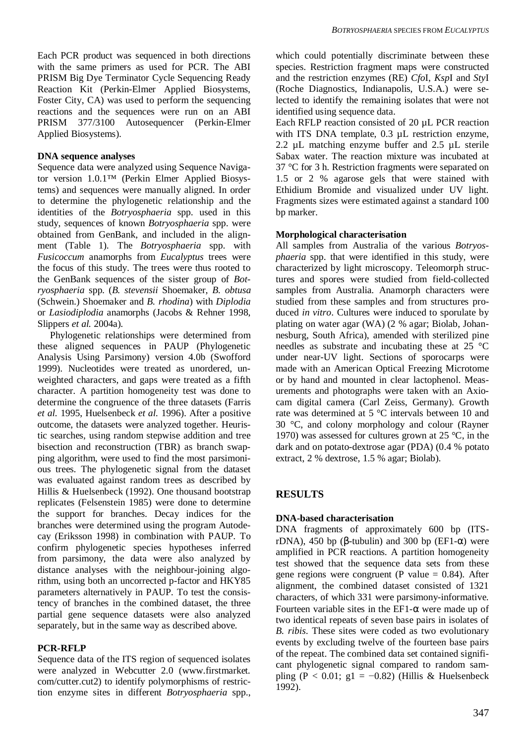Each PCR product was sequenced in both directions with the same primers as used for PCR. The ABI PRISM Big Dye Terminator Cycle Sequencing Ready Reaction Kit (Perkin-Elmer Applied Biosystems, Foster City, CA) was used to perform the sequencing reactions and the sequences were run on an ABI PRISM 377/3100 Autosequencer (Perkin-Elmer Applied Biosystems).

### **DNA sequence analyses**

Sequence data were analyzed using Sequence Navigator version 1.0.1™ (Perkin Elmer Applied Biosystems) and sequences were manually aligned. In order to determine the phylogenetic relationship and the identities of the *Botryosphaeria* spp. used in this study, sequences of known *Botryosphaeria* spp. were obtained from GenBank, and included in the alignment (Table 1). The *Botryosphaeria* spp. with *Fusicoccum* anamorphs from *Eucalyptus* trees were the focus of this study. The trees were thus rooted to the GenBank sequences of the sister group of *Botryosphaeria* spp. (*B. stevensii* Shoemaker, *B. obtusa* (Schwein.) Shoemaker and *B. rhodina*) with *Diplodia* or *Lasiodiplodia* anamorphs (Jacobs & Rehner 1998, Slippers *et al.* 2004a).

 Phylogenetic relationships were determined from these aligned sequences in PAUP (Phylogenetic Analysis Using Parsimony) version 4.0b (Swofford 1999). Nucleotides were treated as unordered, unweighted characters, and gaps were treated as a fifth character. A partition homogeneity test was done to determine the congruence of the three datasets (Farris *et al.* 1995, Huelsenbeck *et al.* 1996). After a positive outcome, the datasets were analyzed together. Heuristic searches, using random stepwise addition and tree bisection and reconstruction (TBR) as branch swapping algorithm, were used to find the most parsimonious trees. The phylogenetic signal from the dataset was evaluated against random trees as described by Hillis & Huelsenbeck (1992). One thousand bootstrap replicates (Felsenstein 1985) were done to determine the support for branches. Decay indices for the branches were determined using the program Autodecay (Eriksson 1998) in combination with PAUP. To confirm phylogenetic species hypotheses inferred from parsimony, the data were also analyzed by distance analyses with the neighbour-joining algorithm, using both an uncorrected p-factor and HKY85 parameters alternatively in PAUP. To test the consistency of branches in the combined dataset, the three partial gene sequence datasets were also analyzed separately, but in the same way as described above.

## **PCR-RFLP**

Sequence data of the ITS region of sequenced isolates were analyzed in Webcutter 2.0 (www.firstmarket. com/cutter.cut2) to identify polymorphisms of restriction enzyme sites in different *Botryosphaeria* spp.,

which could potentially discriminate between these species. Restriction fragment maps were constructed and the restriction enzymes (RE) *Cfo*I, *Ksp*I and *Sty*I (Roche Diagnostics, Indianapolis, U.S.A.) were selected to identify the remaining isolates that were not identified using sequence data.

Each RFLP reaction consisted of 20 µL PCR reaction with ITS DNA template, 0.3  $\mu$ L restriction enzyme, 2.2 µL matching enzyme buffer and 2.5 µL sterile Sabax water. The reaction mixture was incubated at 37 °C for 3 h. Restriction fragments were separated on 1.5 or 2 % agarose gels that were stained with Ethidium Bromide and visualized under UV light. Fragments sizes were estimated against a standard 100 bp marker.

## **Morphological characterisation**

All samples from Australia of the various *Botryosphaeria* spp. that were identified in this study, were characterized by light microscopy. Teleomorph structures and spores were studied from field-collected samples from Australia. Anamorph characters were studied from these samples and from structures produced *in vitro*. Cultures were induced to sporulate by plating on water agar (WA) (2 % agar; Biolab, Johannesburg, South Africa), amended with sterilized pine needles as substrate and incubating these at 25 °C under near-UV light. Sections of sporocarps were made with an American Optical Freezing Microtome or by hand and mounted in clear lactophenol. Measurements and photographs were taken with an Axiocam digital camera (Carl Zeiss, Germany). Growth rate was determined at 5 °C intervals between 10 and 30 °C, and colony morphology and colour (Rayner 1970) was assessed for cultures grown at 25 °C, in the dark and on potato-dextrose agar (PDA) (0.4 % potato extract, 2 % dextrose, 1.5 % agar; Biolab).

# **RESULTS**

## **DNA-based characterisation**

DNA fragments of approximately 600 bp (ITSrDNA), 450 bp (β-tubulin) and 300 bp (EF1- $\alpha$ ) were amplified in PCR reactions. A partition homogeneity test showed that the sequence data sets from these gene regions were congruent (P value  $= 0.84$ ). After alignment, the combined dataset consisted of 1321 characters, of which 331 were parsimony-informative. Fourteen variable sites in the EF1- $\alpha$  were made up of two identical repeats of seven base pairs in isolates of *B. ribis*. These sites were coded as two evolutionary events by excluding twelve of the fourteen base pairs of the repeat. The combined data set contained significant phylogenetic signal compared to random sampling (P < 0.01; g1 = -0.82) (Hillis & Huelsenbeck 1992).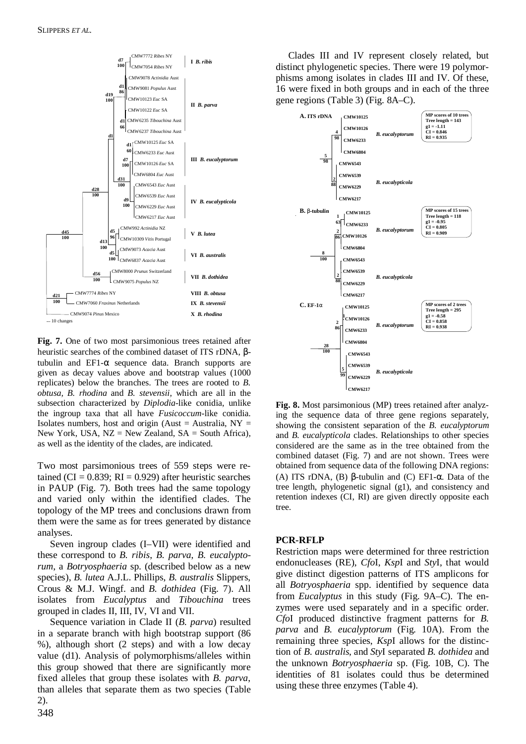

**Fig. 7.** One of two most parsimonious trees retained after heuristic searches of the combined dataset of ITS rDNA, βtubulin and  $EFI-\alpha$  sequence data. Branch supports are given as decay values above and bootstrap values (1000 replicates) below the branches. The trees are rooted to *B. obtusa, B. rhodina* and *B. stevensii*, which are all in the subsection characterized by *Diplodia*-like conidia, unlike the ingroup taxa that all have *Fusicoccum*-like conidia. Isolates numbers, host and origin (Aust = Australia,  $NY =$ New York, USA,  $NZ = New Zealand$ ,  $SA = South Africa$ ), as well as the identity of the clades, are indicated.

Two most parsimonious trees of 559 steps were retained (CI =  $0.839$ ; RI =  $0.929$ ) after heuristic searches in PAUP (Fig. 7). Both trees had the same topology and varied only within the identified clades. The topology of the MP trees and conclusions drawn from them were the same as for trees generated by distance analyses.

 Seven ingroup clades (I–VII) were identified and these correspond to *B. ribis*, *B. parva*, *B. eucalyptorum*, a *Botryosphaeria* sp*.* (described below as a new species), *B. lutea* A.J.L. Phillips, *B. australis* Slippers, Crous & M.J. Wingf. and *B. dothidea* (Fig. 7). All isolates from *Eucalyptus* and *Tibouchina* trees grouped in clades II, III, IV, VI and VII.

 Sequence variation in Clade II (*B. parva*) resulted in a separate branch with high bootstrap support (86 %), although short (2 steps) and with a low decay value (d1). Analysis of polymorphisms/alleles within this group showed that there are significantly more fixed alleles that group these isolates with *B. parva*, than alleles that separate them as two species (Table 2).

 Clades III and IV represent closely related, but distinct phylogenetic species. There were 19 polymorphisms among isolates in clades III and IV. Of these, 16 were fixed in both groups and in each of the three gene regions (Table 3) (Fig. 8A–C).



**Fig. 8.** Most parsimonious (MP) trees retained after analyzing the sequence data of three gene regions separately, showing the consistent separation of the *B. eucalyptorum* and *B. eucalypticola* clades. Relationships to other species considered are the same as in the tree obtained from the combined dataset (Fig. 7) and are not shown. Trees were obtained from sequence data of the following DNA regions: (A) ITS rDNA, (B) β-tubulin and (C) EF1- $\alpha$ . Data of the tree length, phylogenetic signal (g1), and consistency and retention indexes (CI, RI) are given directly opposite each tree.

#### **PCR-RFLP**

Restriction maps were determined for three restriction endonucleases (RE), *Cfo*I, *Ksp*I and *Sty*I, that would give distinct digestion patterns of ITS amplicons for all *Botryosphaeria* spp. identified by sequence data from *Eucalyptus* in this study (Fig. 9A–C). The enzymes were used separately and in a specific order. *Cfo*I produced distinctive fragment patterns for *B. parva* and *B. eucalyptorum* (Fig. 10A). From the remaining three species, *Ksp*I allows for the distinction of *B. australis*, and *Sty*I separated *B. dothidea* and the unknown *Botryosphaeria* sp. (Fig. 10B, C). The identities of 81 isolates could thus be determined using these three enzymes (Table 4).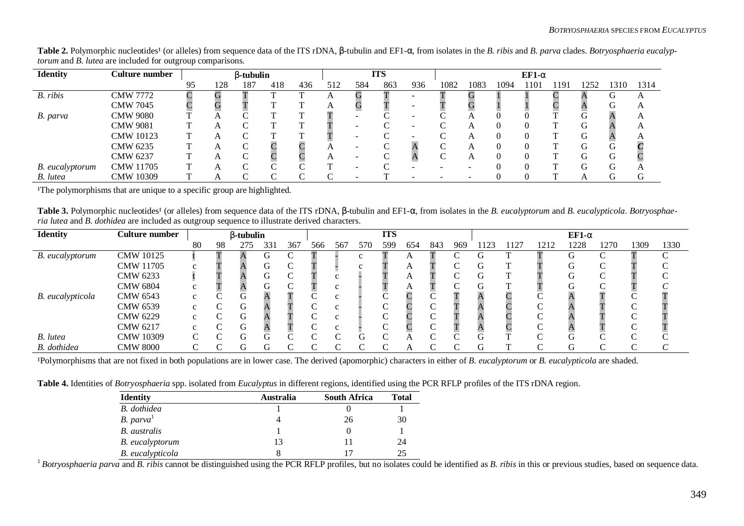| <b>Identity</b> | Culture number   |    |     | $\beta$ -tubulin |        |     |     |     | <b>ITS</b> |     |      |      |      | $EF1-\alpha$ |      |      |              |      |
|-----------------|------------------|----|-----|------------------|--------|-----|-----|-----|------------|-----|------|------|------|--------------|------|------|--------------|------|
|                 |                  | 95 | 128 | 187              | 418    | 436 | 512 | 584 | 863        | 936 | 1082 | 1083 | 1094 | 1101         | 1191 | 1252 | 1310         | 1314 |
| B. ribis        | <b>CMW 7772</b>  |    |     |                  |        |     |     |     |            |     |      |      |      |              |      |      | $\mathbf{u}$ |      |
|                 | <b>CMW 7045</b>  |    |     |                  |        |     |     |     |            |     |      |      |      |              |      |      |              |      |
| B. parva        | <b>CMW 9080</b>  |    |     |                  |        |     |     |     |            |     |      |      |      |              |      |      |              |      |
|                 | <b>CMW 9081</b>  |    |     |                  |        |     |     |     |            |     |      |      |      |              |      |      |              |      |
|                 | <b>CMW</b> 10123 |    |     |                  |        |     |     |     |            |     |      |      |      |              |      |      |              |      |
|                 | CMW 6235         |    | A   |                  |        |     |     |     |            |     |      |      |      |              |      |      |              |      |
|                 | CMW 6237         |    |     |                  |        |     |     |     |            |     |      |      |      |              |      |      |              |      |
| B. eucalyptorum | <b>CMW 11705</b> |    |     |                  |        |     |     |     |            |     |      |      |      |              |      |      |              |      |
| B. lutea        | <b>CMW 10309</b> |    |     |                  | $\sim$ |     |     |     |            |     |      |      |      |              |      |      |              |      |

**Table 2.** Polymorphic nucleotides<sup>1</sup> (or alleles) from sequence data of the ITS rDNA, β-tubulin and EF1-α, from isolates in the *B. ribis* and *B. parva* clades. *Botryosphaeria eucalyptorum* and *B. lutea* are included for outgroup comparisons.

<sup>1</sup>The polymorphisms that are unique to a specific group are highlighted.

**Table 3.** Polymorphic nucleotides<sup>1</sup> (or alleles) from sequence data of the ITS rDNA, β-tubulin and EF1-α, from isolates in the *B. eucalyptorum* and *B. eucalypticola. Botryosphaeria lutea* and *B. dothidea* are included as outgroup sequence to illustrate derived characters.

| <b>Identity</b>  | Culture number   |        | $\beta$ -tubulin |     |     | <b>ITS</b> |     |            |     |     |     | $EF1-\alpha$ |     |     |      |      |      |      |      |      |
|------------------|------------------|--------|------------------|-----|-----|------------|-----|------------|-----|-----|-----|--------------|-----|-----|------|------|------|------|------|------|
|                  |                  | 80     | 98               | 275 | 331 | 367        | 566 | 567        | 570 | 599 | 654 | 843          | 969 | 123 | 1127 | 1212 | 1228 | 1270 | 1309 | 1330 |
| B. eucalyptorum  | <b>CMW 10125</b> |        |                  |     |     |            |     |            |     |     |     |              |     |     |      |      |      |      |      |      |
|                  | <b>CMW 11705</b> |        |                  |     | UΥ  |            |     |            |     |     |     |              |     |     |      |      |      |      |      |      |
|                  | CMW 6233         |        |                  |     |     |            |     |            |     |     |     |              |     |     | T    |      |      |      |      |      |
|                  | <b>CMW 6804</b>  |        |                  |     |     |            |     |            |     |     |     |              |     |     |      |      |      |      |      |      |
| B. eucalypticola | CMW 6543         | $\sim$ |                  |     |     |            |     |            |     |     |     |              |     |     |      |      |      |      |      |      |
|                  | <b>CMW 6539</b>  | $\sim$ |                  | G   |     |            |     |            |     |     |     |              |     |     |      |      |      |      |      |      |
|                  | CMW 6229         |        |                  | G   |     |            |     |            |     |     |     |              |     |     |      |      |      |      |      |      |
|                  | CMW 6217         | $\sim$ |                  | G   |     |            |     |            |     |     |     |              |     |     |      |      |      |      |      |      |
| B. lutea         | CMW 10309        | C      |                  | G   |     |            |     | $\sqrt{ }$ |     | ⌒   |     |              |     |     |      |      |      |      |      |      |
| B. dothidea      | <b>CMW 8000</b>  |        |                  |     |     |            | ⌒   | ⌒          |     | ⌒   |     |              |     |     |      |      |      |      |      |      |

<sup>1</sup>Polymorphisms that are not fixed in both populations are in lower case. The derived (apomorphic) characters in either of *B. eucalyptorum* or *B. eucalypticola* are shaded.

**Table 4.** Identities of *Botryosphaeria* spp. isolated from *Eucalyptus* in different regions, identified using the PCR RFLP profiles of the ITS rDNA region.

| <b>Identity</b>       | <b>Australia</b> | <b>South Africa</b> | Total |
|-----------------------|------------------|---------------------|-------|
| <b>B.</b> dothidea    |                  |                     |       |
| B.~parva <sup>1</sup> |                  | 26                  | 30    |
| <b>B.</b> australis   |                  |                     |       |
| B. eucalyptorum       | 13               |                     | 24    |
| B. eucalypticola      |                  |                     | 25    |

<sup>1</sup> Botryosphaeria parva and *B. ribis* cannot be distinguished using the PCR RFLP profiles, but no isolates could be identified as *B. ribis* in this or previous studies, based on sequence data.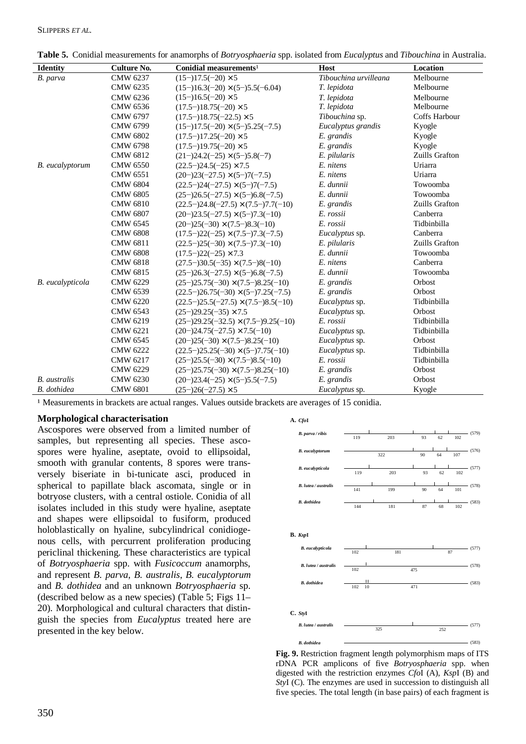| <b>Identity</b>        | <b>Culture No.</b> | Conidial measurements <sup>1</sup>         | Host                  | Location       |
|------------------------|--------------------|--------------------------------------------|-----------------------|----------------|
| B. parva               | CMW 6237           | $(15-)17.5(-20) \times 5$                  | Tibouchina urvilleana | Melbourne      |
|                        | CMW 6235           | $(15-)16.3(-20) \times (5-)5.5(-6.04)$     | T. lepidota           | Melbourne      |
|                        | CMW 6236           | $(15-)16.5(-20) \times 5$                  | T. lepidota           | Melbourne      |
|                        | CMW 6536           | $(17.5-18.75(-20) \times 5$                | T. lepidota           | Melbourne      |
|                        | <b>CMW 6797</b>    | $(17.5-)18.75(-22.5)\times 5$              | Tibouchina sp.        | Coffs Harbour  |
|                        | CMW 6799           | $(15-)17.5(-20) \times (5-)5.25(-7.5)$     | Eucalyptus grandis    | Kyogle         |
|                        | <b>CMW 6802</b>    | $(17.5-17.25(-20) \times 5$                | E. grandis            | Kyogle         |
|                        | <b>CMW 6798</b>    | $(17.5-)19.75(-20) \times 5$               | E. grandis            | Kyogle         |
|                        | <b>CMW 6812</b>    | $(21-)24.2(-25) \times (5-)5.8(-7)$        | E. pilularis          | Zuills Grafton |
| <b>B.</b> eucalyptorum | <b>CMW 6550</b>    | $(22.5-)24.5(-25) \times 7.5$              | E. nitens             | Uriarra        |
|                        | <b>CMW 6551</b>    | $(20-)23(-27.5) \times (5-)7(-7.5)$        | E. nitens             | Uriarra        |
|                        | <b>CMW 6804</b>    | $(22.5-)24(-27.5) \times (5-)7(-7.5)$      | E. dunnii             | Towoomba       |
|                        | <b>CMW 6805</b>    | $(25-)26.5(-27.5) \times (5-)6.8(-7.5)$    | E. dunnii             | Towoomba       |
|                        | <b>CMW 6810</b>    | $(22.5-)24.8(-27.5) \times (7.5-)7.7(-10)$ | E. grandis            | Zuills Grafton |
|                        | <b>CMW 6807</b>    | $(20-)23.5(-27.5) \times (5-)7.3(-10)$     | E. rossii             | Canberra       |
|                        | <b>CMW 6545</b>    | $(20-)25(-30) \times (7.5-)8.3(-10)$       | E. rossii             | Tidbinbilla    |
|                        | <b>CMW 6808</b>    | $(17.5-)22(-25) \times (7.5-)7.3(-7.5)$    | Eucalyptus sp.        | Canberra       |
|                        | <b>CMW 6811</b>    | $(22.5-25(-30) \times (7.5-77.3(-10))$     | E. pilularis          | Zuills Grafton |
|                        | <b>CMW 6808</b>    | $(17.5 - 22(-25) \times 7.3)$              | E. dunnii             | Towoomba       |
|                        | <b>CMW 6818</b>    | $(27.5-)30.5(-35) \times (7.5-)8(-10)$     | E. nitens             | Canberra       |
|                        | <b>CMW 6815</b>    | $(25-)26.3(-27.5) \times (5-)6.8(-7.5)$    | E. dunnii             | Towoomba       |
| B. eucalypticola       | CMW 6229           | $(25-25.75(-30) \times (7.5-8.25(-10))$    | E. grandis            | Orbost         |
|                        | CMW 6539           | $(22.5-)26.75(-30) \times (5-)7.25(-7.5)$  | E. grandis            | Orbost         |
|                        | <b>CMW 6220</b>    | $(22.5-)25.5(-27.5) \times (7.5-)8.5(-10)$ | Eucalyptus sp.        | Tidbinbilla    |
|                        | CMW 6543           | $(25-)29.25(-35) \times 7.5$               | Eucalyptus sp.        | Orbost         |
|                        | <b>CMW 6219</b>    | $(25-)29.25(-32.5) \times (7.5-)9.25(-10)$ | E. rossii             | Tidbinbilla    |
|                        | <b>CMW 6221</b>    | $(20-)24.75(-27.5) \times 7.5(-10)$        | Eucalyptus sp.        | Tidbinbilla    |
|                        | <b>CMW 6545</b>    | $(20-)25(-30) \times (7.5-)8.25(-10)$      | Eucalyptus sp.        | Orbost         |
|                        | <b>CMW 6222</b>    | $(22.5-)25.25(-30) \times (5-)7.75(-10)$   | Eucalyptus sp.        | Tidbinbilla    |
|                        | CMW 6217           | $(25-25.5(-30) \times (7.5-8.5(-10))$      | E. rossii             | Tidbinbilla    |
|                        | CMW 6229           | $(25-)25.75(-30) \times (7.5-)8.25(-10)$   | E. grandis            | Orbost         |
| <b>B.</b> australis    | <b>CMW 6230</b>    | $(20-)23.4(-25) \times (5-)5.5(-7.5)$      | E. grandis            | Orbost         |
| <b>B.</b> dothidea     | <b>CMW 6801</b>    | $(25-)26(-27.5) \times 5$                  | Eucalyptus sp.        | Kyogle         |

**Table 5.** Conidial measurements for anamorphs of *Botryosphaeria* spp. isolated from *Eucalyptus* and *Tibouchina* in Australia.

<sup>1</sup> Measurements in brackets are actual ranges. Values outside brackets are averages of 15 conidia.

### **Morphological characterisation**

Ascospores were observed from a limited number of samples, but representing all species. These ascospores were hyaline, aseptate, ovoid to ellipsoidal, smooth with granular contents, 8 spores were transversely biseriate in bi-tunicate asci, produced in spherical to papillate black ascomata, single or in botryose clusters, with a central ostiole. Conidia of all isolates included in this study were hyaline, aseptate and shapes were ellipsoidal to fusiform, produced holoblastically on hyaline, subcylindrical conidiogenous cells, with percurrent proliferation producing periclinal thickening. These characteristics are typical of *Botryosphaeria* spp. with *Fusicoccum* anamorphs, and represent *B. parva*, *B. australis*, *B. eucalyptorum* and *B. dothidea* and an unknown *Botryosphaeria* sp. (described below as a new species) (Table 5: Figs  $11-$ 20). Morphological and cultural characters that distinguish the species from *Eucalyptus* treated here are presented in the key below.



**Fig. 9.** Restriction fragment length polymorphism maps of ITS rDNA PCR amplicons of five *Botryosphaeria* spp. when digested with the restriction enzymes *Cfo*I (A), *Ksp*I (B) and *Sty*I (C). The enzymes are used in succession to distinguish all five species. The total length (in base pairs) of each fragment is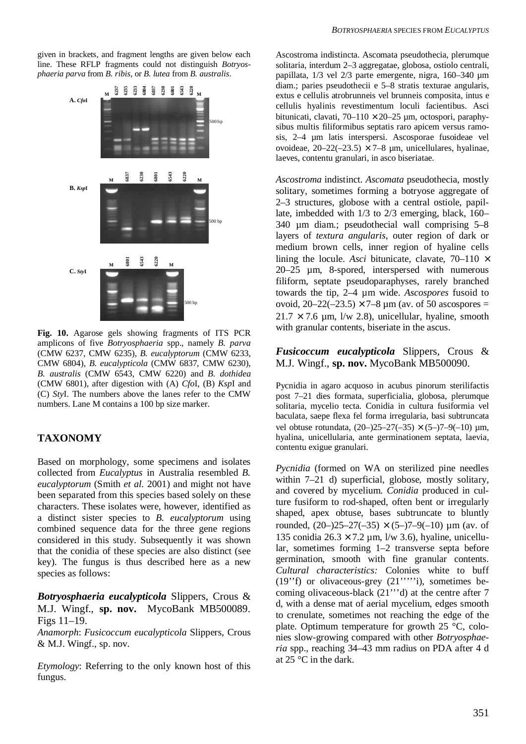given in brackets, and fragment lengths are given below each line. These RFLP fragments could not distinguish *Botryosphaeria parva* from *B. ribis*, or *B. lutea* from *B. australis*.



**Fig. 10.** Agarose gels showing fragments of ITS PCR amplicons of five *Botryosphaeria* spp., namely *B. parva* (CMW 6237, CMW 6235), *B. eucalyptorum* (CMW 6233, CMW 6804), *B. eucalypticola* (CMW 6837, CMW 6230), *B. australis* (CMW 6543, CMW 6220) and *B. dothidea* (CMW 6801), after digestion with (A) *Cfo*I, (B) *Ksp*I and (C) *Sty*I. The numbers above the lanes refer to the CMW numbers. Lane M contains a 100 bp size marker.

# **TAXONOMY**

Based on morphology, some specimens and isolates collected from *Eucalyptus* in Australia resembled *B. eucalyptorum* (Smith *et al.* 2001) and might not have been separated from this species based solely on these characters. These isolates were, however, identified as a distinct sister species to *B. eucalyptorum* using combined sequence data for the three gene regions considered in this study. Subsequently it was shown that the conidia of these species are also distinct (see key). The fungus is thus described here as a new species as follows:

# *Botryosphaeria eucalypticola* Slippers, Crous & M.J. Wingf., **sp. nov.** MycoBank MB500089. Figs 11–19.

*Anamorph*: *Fusicoccum eucalypticola* Slippers, Crous & M.J. Wingf., sp. nov.

*Etymology*: Referring to the only known host of this fungus.

Ascostroma indistincta. Ascomata pseudothecia, plerumque solitaria, interdum 2–3 aggregatae, globosa, ostiolo centrali, papillata, 1/3 vel 2/3 parte emergente, nigra, 160–340 µm diam.; paries pseudothecii e 5–8 stratis texturae angularis, extus e cellulis atrobrunneis vel brunneis composita, intus e cellulis hyalinis revestimentum loculi facientibus. Asci bitunicati, clavati,  $70-110 \times 20-25$  µm, octospori, paraphysibus multis filiformibus septatis raro apicem versus ramosis, 2–4 µm latis interspersi. Ascosporae fusoideae vel ovoideae,  $20-22(-23.5) \times 7-8$  µm, unicellulares, hyalinae, laeves, contentu granulari, in asco biseriatae.

*Ascostroma* indistinct. *Ascomata* pseudothecia, mostly solitary, sometimes forming a botryose aggregate of 2–3 structures, globose with a central ostiole, papillate, imbedded with 1/3 to 2/3 emerging, black, 160– 340 µm diam.; pseudothecial wall comprising 5–8 layers of *textura angularis*, outer region of dark or medium brown cells, inner region of hyaline cells lining the locule. *Asci* bitunicate, clavate,  $70-110 \times$ 20–25 µm, 8-spored, interspersed with numerous filiform, septate pseudoparaphyses, rarely branched towards the tip, 2–4 µm wide. *Ascospores* fusoid to ovoid,  $20 - 22(-23.5) \times 7 - 8 \,\mu m$  (av. of 50 ascospores =  $21.7 \times 7.6$  um,  $1/w$  2.8), unicellular, hyaline, smooth with granular contents, biseriate in the ascus.

# *Fusicoccum eucalypticola* Slippers, Crous & M.J. Wingf., **sp. nov.** MycoBank MB500090.

Pycnidia in agaro acquoso in acubus pinorum sterilifactis post 7–21 dies formata, superficialia, globosa, plerumque solitaria, mycelio tecta. Conidia in cultura fusiformia vel baculata, saepe flexa fel forma irregularia, basi subtruncata vel obtuse rotundata,  $(20-)25-27(-35) \times (5-)7-9(-10) \text{ µm}$ , hyalina, unicellularia, ante germinationem septata, laevia, contentu exigue granulari.

*Pycnidia* (formed on WA on sterilized pine needles within 7–21 d) superficial, globose, mostly solitary, and covered by mycelium. *Conidia* produced in culture fusiform to rod-shaped, often bent or irregularly shaped, apex obtuse, bases subtruncate to bluntly rounded,  $(20-25-27(-35) \times (5-7-9(-10)) \mu m$  (av. of 135 conidia  $26.3 \times 7.2$  um,  $1/w$  3.6), hyaline, unicellular, sometimes forming 1–2 transverse septa before germination, smooth with fine granular contents. *Cultural characteristics:* Colonies white to buff (19''f) or olivaceous-grey (21'''''i), sometimes becoming olivaceous-black (21'''d) at the centre after 7 d, with a dense mat of aerial mycelium, edges smooth to crenulate, sometimes not reaching the edge of the plate. Optimum temperature for growth 25 °C, colonies slow-growing compared with other *Botryosphaeria* spp., reaching 34–43 mm radius on PDA after 4 d at 25 °C in the dark.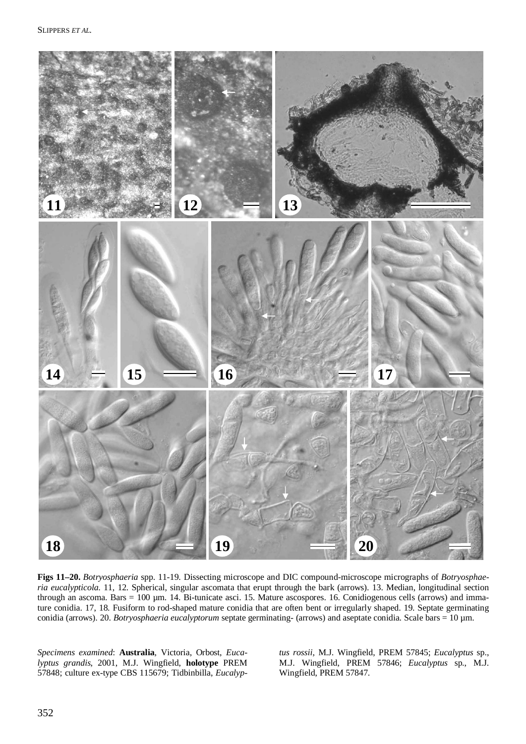

**Figs 11–20.** *Botryosphaeria* spp. 11-19. Dissecting microscope and DIC compound-microscope micrographs of *Botryosphaeria eucalypticola*. 11, 12. Spherical, singular ascomata that erupt through the bark (arrows). 13. Median, longitudinal section through an ascoma. Bars  $= 100 \mu m$ . 14. Bi-tunicate asci. 15. Mature ascospores. 16. Conidiogenous cells (arrows) and immature conidia. 17, 18. Fusiform to rod-shaped mature conidia that are often bent or irregularly shaped. 19. Septate germinating conidia (arrows). 20. *Botryosphaeria eucalyptorum* septate germinating- (arrows) and aseptate conidia. Scale bars = 10 µm.

*Specimens examined*: **Australia**, Victoria, Orbost, *Eucalyptus grandis*, 2001, M.J. Wingfield, **holotype** PREM 57848; culture ex-type CBS 115679; Tidbinbilla, *Eucalyp-* *tus rossii*, M.J. Wingfield, PREM 57845; *Eucalyptus* sp., M.J. Wingfield, PREM 57846; *Eucalyptus* sp., M.J. Wingfield, PREM 57847.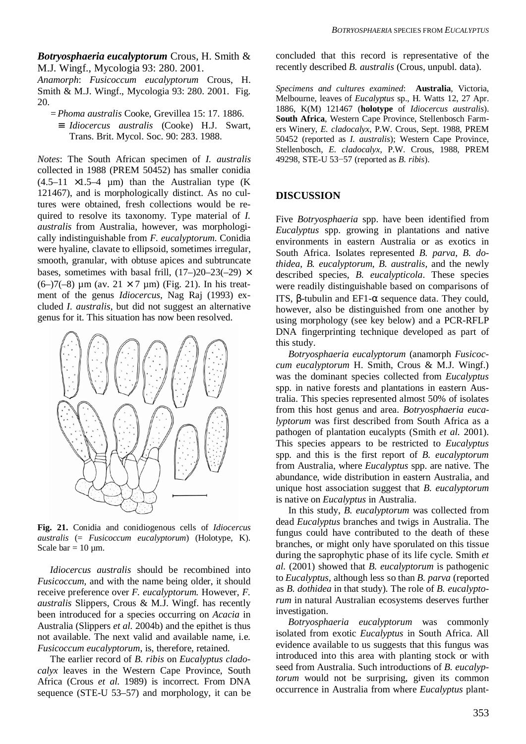*Botryosphaeria eucalyptorum* Crous, H. Smith & M.J. Wingf., Mycologia 93: 280. 2001.

*Anamorph*: *Fusicoccum eucalyptorum* Crous, H. Smith & M.J. Wingf., Mycologia 93: 280. 2001. Fig. 20.

- *= Phoma australis* Cooke, Grevillea 15: 17. 1886.
	- ≡ *Idiocercus australis* (Cooke) H.J. Swart, Trans. Brit. Mycol. Soc. 90: 283. 1988.

*Notes*: The South African specimen of *I. australis* collected in 1988 (PREM 50452) has smaller conidia  $(4.5-11 \times 1.5-4 \text{µm})$  than the Australian type (K) 121467), and is morphologically distinct. As no cultures were obtained, fresh collections would be required to resolve its taxonomy. Type material of *I. australis* from Australia, however, was morphologically indistinguishable from *F. eucalyptorum*. Conidia were hyaline, clavate to ellipsoid, sometimes irregular, smooth, granular, with obtuse apices and subtruncate bases, sometimes with basal frill,  $(17–)20–23(-29) \times$ (6–)7(–8)  $\mu$ m (av. 21 × 7  $\mu$ m) (Fig. 21). In his treatment of the genus *Idiocercus*, Nag Raj (1993) excluded *I. australis*, but did not suggest an alternative genus for it. This situation has now been resolved.



**Fig. 21.** Conidia and conidiogenous cells of *Idiocercus australis* (= *Fusicoccum eucalyptorum*) (Holotype, K). Scale bar =  $10 \mu$ m.

 *Idiocercus australis* should be recombined into *Fusicoccum*, and with the name being older, it should receive preference over *F. eucalyptorum.* However, *F. australis* Slippers, Crous & M.J. Wingf. has recently been introduced for a species occurring on *Acacia* in Australia (Slippers *et al.* 2004b) and the epithet is thus not available. The next valid and available name, i.e. *Fusicoccum eucalyptorum*, is, therefore, retained.

 The earlier record of *B. ribis* on *Eucalyptus cladocalyx* leaves in the Western Cape Province, South Africa (Crous *et al*. 1989) is incorrect. From DNA sequence (STE-U 53–57) and morphology, it can be concluded that this record is representative of the recently described *B. australis* (Crous, unpubl. data).

*Specimens and cultures examined*: **Australia**, Victoria, Melbourne, leaves of *Eucalyptus* sp., H. Watts 12, 27 Apr. 1886, K(M) 121467 (**holotype** of *Idiocercus australis*). **South Africa**, Western Cape Province, Stellenbosch Farmers Winery, *E. cladocalyx*, P.W. Crous, Sept. 1988, PREM 50452 (reported as *I. australis*); Western Cape Province, Stellenbosch, *E. cladocalyx*, P.W. Crous, 1988, PREM 49298, STE-U 53–57 (reported as *B. ribis*).

### **DISCUSSION**

Five *Botryosphaeria* spp. have been identified from *Eucalyptus* spp. growing in plantations and native environments in eastern Australia or as exotics in South Africa. Isolates represented *B. parva*, *B. dothidea*, *B. eucalyptorum*, *B. australis,* and the newly described species, *B. eucalypticola*. These species were readily distinguishable based on comparisons of ITS, β-tubulin and EF1-α sequence data. They could, however, also be distinguished from one another by using morphology (see key below) and a PCR-RFLP DNA fingerprinting technique developed as part of this study.

 *Botryosphaeria eucalyptorum* (anamorph *Fusicoccum eucalyptorum* H. Smith, Crous & M.J. Wingf.) was the dominant species collected from *Eucalyptus* spp. in native forests and plantations in eastern Australia. This species represented almost 50% of isolates from this host genus and area. *Botryosphaeria eucalyptorum* was first described from South Africa as a pathogen of plantation eucalypts (Smith *et al.* 2001). This species appears to be restricted to *Eucalyptus* spp*.* and this is the first report of *B. eucalyptorum* from Australia, where *Eucalyptus* spp. are native. The abundance, wide distribution in eastern Australia, and unique host association suggest that *B. eucalyptorum* is native on *Eucalyptus* in Australia.

 In this study, *B. eucalyptorum* was collected from dead *Eucalyptus* branches and twigs in Australia. The fungus could have contributed to the death of these branches, or might only have sporulated on this tissue during the saprophytic phase of its life cycle. Smith *et al.* (2001) showed that *B. eucalyptorum* is pathogenic to *Eucalyptus*, although less so than *B. parva* (reported as *B. dothidea* in that study). The role of *B. eucalyptorum* in natural Australian ecosystems deserves further investigation.

 *Botryosphaeria eucalyptorum* was commonly isolated from exotic *Eucalyptus* in South Africa. All evidence available to us suggests that this fungus was introduced into this area with planting stock or with seed from Australia. Such introductions of *B. eucalyptorum* would not be surprising, given its common occurrence in Australia from where *Eucalyptus* plant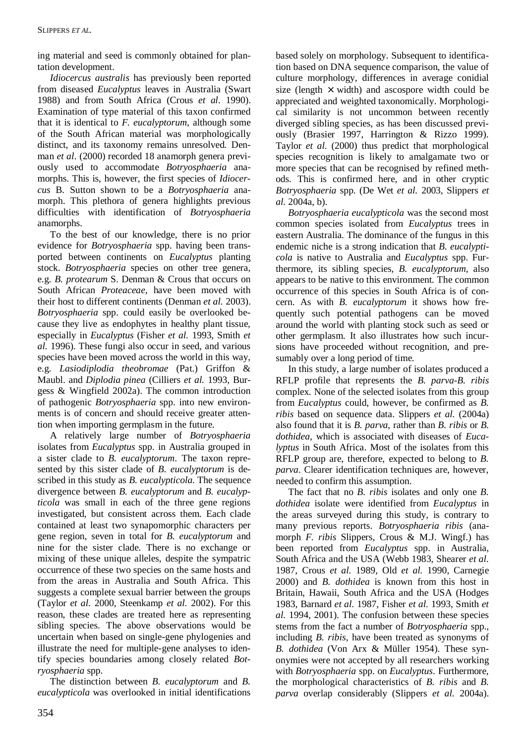ing material and seed is commonly obtained for plantation development.

 *Idiocercus australis* has previously been reported from diseased *Eucalyptus* leaves in Australia (Swart 1988) and from South Africa (Crous *et al*. 1990). Examination of type material of this taxon confirmed that it is identical to *F. eucalyptorum*, although some of the South African material was morphologically distinct, and its taxonomy remains unresolved*.* Denman *et al*. (2000) recorded 18 anamorph genera previously used to accommodate *Botryosphaeria* anamorphs. This is, however, the first species of *Idiocercus* B. Sutton shown to be a *Botryosphaeria* anamorph. This plethora of genera highlights previous difficulties with identification of *Botryosphaeria* anamorphs.

 To the best of our knowledge, there is no prior evidence for *Botryosphaeria* spp. having been transported between continents on *Eucalyptus* planting stock. *Botryosphaeria* species on other tree genera, e.g. *B. protearum* S. Denman & Crous that occurs on South African *Proteaceae*, have been moved with their host to different continents (Denman *et al.* 2003). *Botryosphaeria* spp. could easily be overlooked because they live as endophytes in healthy plant tissue, especially in *Eucalyptus* (Fisher *et al.* 1993, Smith *et al.* 1996). These fungi also occur in seed, and various species have been moved across the world in this way, e.g. *Lasiodiplodia theobromae* (Pat.) Griffon & Maubl. and *Diplodia pinea* (Cilliers *et al.* 1993, Burgess & Wingfield 2002a). The common introduction of pathogenic *Botryosphaeria* spp. into new environments is of concern and should receive greater attention when importing germplasm in the future.

 A relatively large number of *Botryosphaeria* isolates from *Eucalyptus* spp. in Australia grouped in a sister clade to *B. eucalyptorum*. The taxon represented by this sister clade of *B. eucalyptorum* is described in this study as *B. eucalypticola*. The sequence divergence between *B. eucalyptorum* and *B. eucalypticola* was small in each of the three gene regions investigated, but consistent across them. Each clade contained at least two synapomorphic characters per gene region, seven in total for *B. eucalyptorum* and nine for the sister clade. There is no exchange or mixing of these unique alleles, despite the sympatric occurrence of these two species on the same hosts and from the areas in Australia and South Africa. This suggests a complete sexual barrier between the groups (Taylor *et al.* 2000, Steenkamp *et al.* 2002). For this reason, these clades are treated here as representing sibling species. The above observations would be uncertain when based on single-gene phylogenies and illustrate the need for multiple-gene analyses to identify species boundaries among closely related *Botryosphaeria* spp.

 The distinction between *B. eucalyptorum* and *B. eucalypticola* was overlooked in initial identifications based solely on morphology. Subsequent to identification based on DNA sequence comparison, the value of culture morphology, differences in average conidial size (length  $\times$  width) and ascospore width could be appreciated and weighted taxonomically. Morphological similarity is not uncommon between recently diverged sibling species, as has been discussed previously (Brasier 1997, Harrington & Rizzo 1999). Taylor *et al.* (2000) thus predict that morphological species recognition is likely to amalgamate two or more species that can be recognised by refined methods. This is confirmed here, and in other cryptic *Botryosphaeria* spp. (De Wet *et al.* 2003, Slippers *et al.* 2004a, b).

 *Botryosphaeria eucalypticola* was the second most common species isolated from *Eucalyptus* trees in eastern Australia. The dominance of the fungus in this endemic niche is a strong indication that *B. eucalypticola* is native to Australia and *Eucalyptus* spp. Furthermore, its sibling species, *B. eucalyptorum*, also appears to be native to this environment*.* The common occurrence of this species in South Africa is of concern. As with *B. eucalyptorum* it shows how frequently such potential pathogens can be moved around the world with planting stock such as seed or other germplasm. It also illustrates how such incursions have proceeded without recognition, and presumably over a long period of time.

 In this study, a large number of isolates produced a RFLP profile that represents the *B. parva*-*B. ribis* complex*.* None of the selected isolates from this group from *Eucalyptus* could, however, be confirmed as *B. ribis* based on sequence data. Slippers *et al.* (2004a) also found that it is *B. parva*, rather than *B. ribis* or *B. dothidea*, which is associated with diseases of *Eucalyptus* in South Africa. Most of the isolates from this RFLP group are, therefore, expected to belong to *B. parva*. Clearer identification techniques are, however, needed to confirm this assumption.

 The fact that no *B. ribis* isolates and only one *B. dothidea* isolate were identified from *Eucalyptus* in the areas surveyed during this study, is contrary to many previous reports. *Botryosphaeria ribis* (anamorph *F. ribis* Slippers, Crous & M.J. Wingf.) has been reported from *Eucalyptus* spp. in Australia, South Africa and the USA (Webb 1983, Shearer *et al.* 1987, Crous *et al.* 1989, Old *et al.* 1990, Carnegie 2000) and *B. dothidea* is known from this host in Britain, Hawaii, South Africa and the USA (Hodges 1983, Barnard *et al.* 1987, Fisher *et al.* 1993, Smith *et al.* 1994, 2001). The confusion between these species stems from the fact a number of *Botryosphaeria* spp., including *B. ribis*, have been treated as synonyms of *B. dothidea* (Von Arx & Müller 1954). These synonymies were not accepted by all researchers working with *Botryosphaeria* spp. on *Eucalyptus*. Furthermore, the morphological characteristics of *B. ribis* and *B. parva* overlap considerably (Slippers *et al.* 2004a).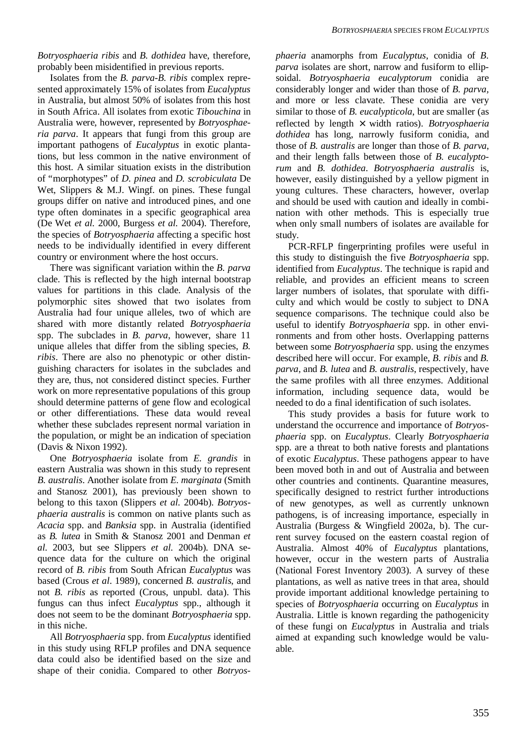*Botryosphaeria ribis* and *B. dothidea* have, therefore, probably been misidentified in previous reports.

 Isolates from the *B. parva*-*B. ribis* complex represented approximately 15% of isolates from *Eucalyptus* in Australia, but almost 50% of isolates from this host in South Africa. All isolates from exotic *Tibouchina* in Australia were, however, represented by *Botryosphaeria parva*. It appears that fungi from this group are important pathogens of *Eucalyptus* in exotic plantations, but less common in the native environment of this host. A similar situation exists in the distribution of "morphotypes" of *D. pinea* and *D. scrobiculata* De Wet, Slippers & M.J. Wingf. on pines. These fungal groups differ on native and introduced pines, and one type often dominates in a specific geographical area (De Wet *et al.* 2000, Burgess *et al.* 2004). Therefore, the species of *Botryosphaeria* affecting a specific host needs to be individually identified in every different country or environment where the host occurs.

 There was significant variation within the *B. parva* clade. This is reflected by the high internal bootstrap values for partitions in this clade. Analysis of the polymorphic sites showed that two isolates from Australia had four unique alleles, two of which are shared with more distantly related *Botryosphaeria* spp. The subclades in *B. parva*, however, share 11 unique alleles that differ from the sibling species, *B. ribis*. There are also no phenotypic or other distinguishing characters for isolates in the subclades and they are, thus, not considered distinct species. Further work on more representative populations of this group should determine patterns of gene flow and ecological or other differentiations. These data would reveal whether these subclades represent normal variation in the population, or might be an indication of speciation (Davis & Nixon 1992).

 One *Botryosphaeria* isolate from *E. grandis* in eastern Australia was shown in this study to represent *B. australis*. Another isolate from *E. marginata* (Smith and Stanosz 2001), has previously been shown to belong to this taxon (Slippers *et al.* 2004b). *Botryosphaeria australis* is common on native plants such as *Acacia* spp. and *Banksia* spp. in Australia (identified as *B. lutea* in Smith & Stanosz 2001 and Denman *et al.* 2003, but see Slippers *et al.* 2004b). DNA sequence data for the culture on which the original record of *B. ribis* from South African *Eucalyptus* was based (Crous *et al*. 1989), concerned *B. australis*, and not *B. ribis* as reported (Crous, unpubl. data). This fungus can thus infect *Eucalyptus* spp., although it does not seem to be the dominant *Botryosphaeria* spp. in this niche.

 All *Botryosphaeria* spp. from *Eucalyptus* identified in this study using RFLP profiles and DNA sequence data could also be identified based on the size and shape of their conidia. Compared to other *Botryos-* *phaeria* anamorphs from *Eucalyptus*, conidia of *B*. *parva* isolates are short, narrow and fusiform to ellipsoidal. *Botryosphaeria eucalyptorum* conidia are considerably longer and wider than those of *B. parva,* and more or less clavate. These conidia are very similar to those of *B. eucalypticola*, but are smaller (as reflected by length × width ratios). *Botryosphaeria dothidea* has long, narrowly fusiform conidia, and those of *B. australis* are longer than those of *B. parva*, and their length falls between those of *B. eucalyptorum* and *B. dothidea*. *Botryosphaeria australis* is, however, easily distinguished by a yellow pigment in young cultures. These characters, however, overlap and should be used with caution and ideally in combination with other methods. This is especially true when only small numbers of isolates are available for study.

 PCR-RFLP fingerprinting profiles were useful in this study to distinguish the five *Botryosphaeria* spp. identified from *Eucalyptus*. The technique is rapid and reliable, and provides an efficient means to screen larger numbers of isolates, that sporulate with difficulty and which would be costly to subject to DNA sequence comparisons. The technique could also be useful to identify *Botryosphaeria* spp. in other environments and from other hosts. Overlapping patterns between some *Botryosphaeria* spp. using the enzymes described here will occur. For example, *B. ribis* and *B. parva*, and *B. lutea* and *B. australis*, respectively, have the same profiles with all three enzymes. Additional information, including sequence data, would be needed to do a final identification of such isolates.

 This study provides a basis for future work to understand the occurrence and importance of *Botryosphaeria* spp. on *Eucalyptus*. Clearly *Botryosphaeria* spp. are a threat to both native forests and plantations of exotic *Eucalyptus*. These pathogens appear to have been moved both in and out of Australia and between other countries and continents. Quarantine measures, specifically designed to restrict further introductions of new genotypes, as well as currently unknown pathogens, is of increasing importance, especially in Australia (Burgess & Wingfield 2002a, b). The current survey focused on the eastern coastal region of Australia. Almost 40% of *Eucalyptus* plantations, however, occur in the western parts of Australia (National Forest Inventory 2003). A survey of these plantations, as well as native trees in that area, should provide important additional knowledge pertaining to species of *Botryosphaeria* occurring on *Eucalyptus* in Australia. Little is known regarding the pathogenicity of these fungi on *Eucalyptus* in Australia and trials aimed at expanding such knowledge would be valuable.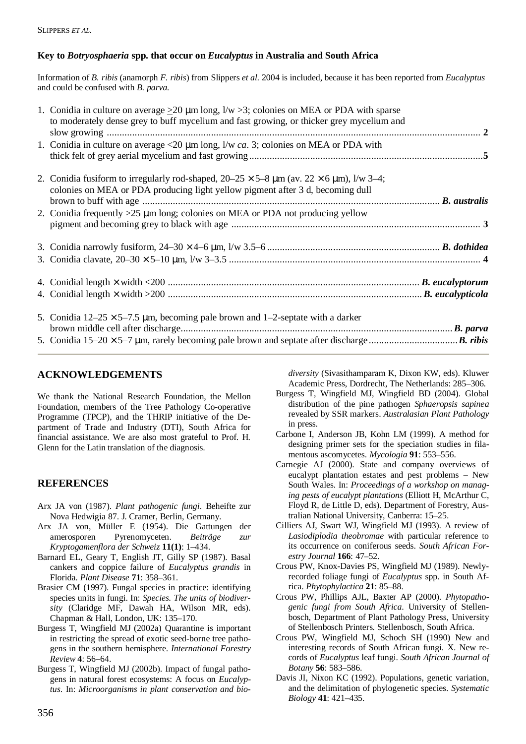# **Key to** *Botryosphaeria* **spp. that occur on** *Eucalyptus* **in Australia and South Africa**

Information of *B. ribis* (anamorph *F. ribis*) from Slippers *et al.* 2004 is included, because it has been reported from *Eucalyptus* and could be confused with *B. parva.*

| 1. Conidia in culture on average $\geq$ 20 µm long, I/w > 3; colonies on MEA or PDA with sparse<br>to moderately dense grey to buff mycelium and fast growing, or thicker grey mycelium and      |  |
|--------------------------------------------------------------------------------------------------------------------------------------------------------------------------------------------------|--|
| 1. Conidia in culture on average <20 µm long, l/w ca. 3; colonies on MEA or PDA with                                                                                                             |  |
| 2. Conidia fusiform to irregularly rod-shaped, $20-25 \times 5-8 \mu m$ (av. $22 \times 6 \mu m$ ), $1/w$ 3-4;<br>colonies on MEA or PDA producing light yellow pigment after 3 d, becoming dull |  |
| 2. Conidia frequently $>25 \mu m$ long; colonies on MEA or PDA not producing yellow                                                                                                              |  |
|                                                                                                                                                                                                  |  |
|                                                                                                                                                                                                  |  |
|                                                                                                                                                                                                  |  |
|                                                                                                                                                                                                  |  |
| 5. Conidia $12-25 \times 5-7.5$ µm, becoming pale brown and 1-2-septate with a darker                                                                                                            |  |
|                                                                                                                                                                                                  |  |

# **ACKNOWLEDGEMENTS**

We thank the National Research Foundation, the Mellon Foundation, members of the Tree Pathology Co-operative Programme (TPCP), and the THRIP initiative of the Department of Trade and Industry (DTI), South Africa for financial assistance. We are also most grateful to Prof. H. Glenn for the Latin translation of the diagnosis.

# **REFERENCES**

- Arx JA von (1987). *Plant pathogenic fungi*. Beheifte zur Nova Hedwigia 87. J. Cramer, Berlin, Germany.
- Arx JA von, Müller E (1954). Die Gattungen der amerosporen Pyrenomyceten. *Beiträge zur Kryptogamenflora der Schweiz* **11(1)**: 1–434.
- Barnard EL, Geary T, English JT, Gilly SP (1987). Basal cankers and coppice failure of *Eucalyptus grandis* in Florida. *Plant Disease* **71**: 358–361.
- Brasier CM (1997). Fungal species in practice: identifying species units in fungi. In: *Species. The units of biodiversity* (Claridge MF, Dawah HA, Wilson MR, eds). Chapman & Hall, London, UK: 135–170.
- Burgess T, Wingfield MJ (2002a) Quarantine is important in restricting the spread of exotic seed-borne tree pathogens in the southern hemisphere. *International Forestry Review* **4**: 56–64.
- Burgess T, Wingfield MJ (2002b). Impact of fungal pathogens in natural forest ecosystems: A focus on *Eucalyptus*. In: *Microorganisms in plant conservation and bio-*

*diversity* (Sivasithamparam K, Dixon KW, eds). Kluwer Academic Press, Dordrecht, The Netherlands: 285–306.

- Burgess T, Wingfield MJ, Wingfield BD (2004). Global distribution of the pine pathogen *Sphaeropsis sapinea* revealed by SSR markers. *Australasian Plant Pathology* in press.
- Carbone I, Anderson JB, Kohn LM (1999). A method for designing primer sets for the speciation studies in filamentous ascomycetes. *Mycologia* **91**: 553–556.
- Carnegie AJ (2000). State and company overviews of eucalypt plantation estates and pest problems – New South Wales. In: *Proceedings of a workshop on managing pests of eucalypt plantations* (Elliott H, McArthur C, Floyd R, de Little D, eds). Department of Forestry, Australian National University, Canberra: 15–25.
- Cilliers AJ, Swart WJ, Wingfield MJ (1993). A review of *Lasiodiplodia theobromae* with particular reference to its occurrence on coniferous seeds. *South African Forestry Journal* **166**: 47–52.
- Crous PW, Knox-Davies PS, Wingfield MJ (1989). Newlyrecorded foliage fungi of *Eucalyptus* spp. in South Africa. *Phytophylactica* **21**: 85–88.
- Crous PW, Phillips AJL, Baxter AP (2000). *Phytopathogenic fungi from South Africa*. University of Stellenbosch, Department of Plant Pathology Press, University of Stellenbosch Printers. Stellenbosch, South Africa.
- Crous PW, Wingfield MJ, Schoch SH (1990) New and interesting records of South African fungi. X. New records of *Eucalyptus* leaf fungi. *South African Journal of Botany* **56**: 583–586.
- Davis JI, Nixon KC (1992). Populations, genetic variation, and the delimitation of phylogenetic species. *Systematic Biology* **41**: 421–435.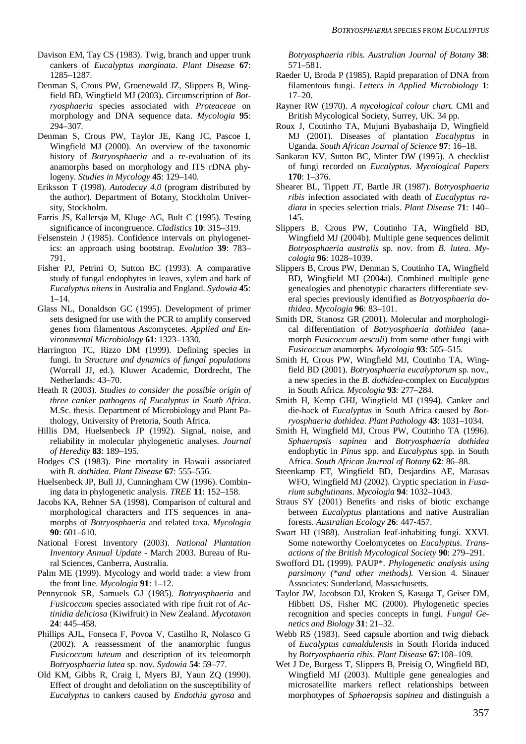Davison EM, Tay CS (1983). Twig, branch and upper trunk cankers of *Eucalyptus marginata*. *Plant Disease* **67**: 1285–1287.

Denman S, Crous PW, Groenewald JZ, Slippers B, Wingfield BD, Wingfield MJ (2003). Circumscription of *Botryosphaeria* species associated with *Proteaceae* on morphology and DNA sequence data. *Mycologia* **95**: 294–307.

Denman S, Crous PW, Taylor JE, Kang JC, Pascoe I, Wingfield MJ (2000). An overview of the taxonomic history of *Botryosphaeria* and a re-evaluation of its anamorphs based on morphology and ITS rDNA phylogeny. *Studies in Mycology* **45**: 129–140.

Eriksson T (1998). *Autodecay 4.0* (program distributed by the author). Department of Botany, Stockholm University, Stockholm.

Farris JS, Kallersjø M, Kluge AG, Bult C (1995). Testing significance of incongruence. *Cladistics* **10**: 315–319.

Felsenstein J (1985). Confidence intervals on phylogenetics: an approach using bootstrap. *Evolution* **39**: 783– 791.

Fisher PJ, Petrini O, Sutton BC (1993). A comparative study of fungal endophytes in leaves, xylem and bark of *Eucalyptus nitens* in Australia and England. *Sydowia* **45**: 1–14.

Glass NL, Donaldson GC (1995). Development of primer sets designed for use with the PCR to amplify conserved genes from filamentous Ascomycetes. *Applied and Environmental Microbiology* **61**: 1323–1330.

Harrington TC, Rizzo DM (1999). Defining species in fungi. In *Structure and dynamics of fungal populations* (Worrall JJ, ed.). Kluwer Academic, Dordrecht, The Netherlands: 43–70.

Heath R (2003). *Studies to consider the possible origin of three canker pathogens of Eucalyptus in South Africa*. M.Sc. thesis. Department of Microbiology and Plant Pathology, University of Pretoria, South Africa.

Hillis DM, Huelsenbeck JP (1992). Signal, noise, and reliability in molecular phylogenetic analyses. *Journal of Heredity* **83**: 189–195.

Hodges CS (1983). Pine mortality in Hawaii associated with *B. dothidea*. *Plant Disease* **67**: 555–556.

Huelsenbeck JP, Bull JJ, Cunningham CW (1996). Combining data in phylogenetic analysis. *TREE* **11**: 152–158.

Jacobs KA, Rehner SA (1998). Comparison of cultural and morphological characters and ITS sequences in anamorphs of *Botryosphaeria* and related taxa. *Mycologia* **90**: 601–610.

National Forest Inventory (2003). *National Plantation Inventory Annual Update* - March 2003*.* Bureau of Rural Sciences, Canberra, Australia.

Palm ME (1999). Mycology and world trade: a view from the front line. *Mycologia* **91**: 1–12.

Pennycook SR, Samuels GJ (1985). *Botryosphaeria* and *Fusicoccum* species associated with ripe fruit rot of *Actinidia deliciosa* (Kiwifruit) in New Zealand. *Mycotaxon* **24**: 445–458.

Phillips AJL, Fonseca F, Povoa V, Castilho R, Nolasco G (2002). A reassessment of the anamorphic fungus *Fusicoccum luteum* and description of its teleomorph *Botryosphaeria lutea* sp. nov. *Sydowia* **54**: 59–77.

Old KM, Gibbs R, Craig I, Myers BJ, Yaun ZQ (1990). Effect of drought and defoliation on the susceptibility of *Eucalyptus* to cankers caused by *Endothia gyrosa* and *Botryosphaeria ribis*. *Australian Journal of Botany* **38**: 571–581.

- Raeder U, Broda P (1985). Rapid preparation of DNA from filamentous fungi. *Letters in Applied Microbiology* **1**:  $17-20$
- Rayner RW (1970). *A mycological colour chart*. CMI and British Mycological Society, Surrey, UK. 34 pp.

Roux J, Coutinho TA, Mujuni Byabashaija D, Wingfield MJ (2001). Diseases of plantation *Eucalyptus* in Uganda. *South African Journal of Science* **97**: 16–18.

Sankaran KV, Sutton BC, Minter DW (1995). A checklist of fungi recorded on *Eucalyptus*. *Mycological Papers* **170**: 1–376.

Shearer BL, Tippett JT, Bartle JR (1987). *Botryosphaeria ribis* infection associated with death of *Eucalyptus radiata* in species selection trials. *Plant Disease* **71**: 140– 145.

Slippers B, Crous PW, Coutinho TA, Wingfield BD, Wingfield MJ (2004b). Multiple gene sequences delimit *Botryosphaeria australis* sp. nov. from *B. lutea*. *Mycologia* **96**: 1028–1039.

Slippers B, Crous PW, Denman S, Coutinho TA, Wingfield BD, Wingfield MJ (2004a). Combined multiple gene genealogies and phenotypic characters differentiate several species previously identified as *Botryosphaeria dothidea*. *Mycologia* **96**: 83–101.

Smith DR, Stanosz GR (2001). Molecular and morphological differentiation of *Botryosphaeria dothidea* (anamorph *Fusicoccum aesculi*) from some other fungi with *Fusicoccum* anamorphs*. Mycologia* **93**: 505–515.

Smith H, Crous PW, Wingfield MJ, Coutinho TA, Wingfield BD (2001). *Botryosphaeria eucalyptorum* sp. nov., a new species in the *B. dothidea*-complex on *Eucalyptus* in South Africa. *Mycologia* **93**: 277–284.

Smith H, Kemp GHJ, Wingfield MJ (1994). Canker and die-back of *Eucalyptus* in South Africa caused by *Botryosphaeria dothidea*. *Plant Pathology* **43**: 1031–1034.

Smith H, Wingfield MJ, Crous PW, Coutinho TA (1996). *Sphaeropsis sapinea* and *Botryosphaeria dothidea* endophytic in *Pinus* spp. and *Eucalyptus* spp. in South Africa. *South African Journal of Botany* **62**: 86–88.

Steenkamp ET, Wingfield BD, Desjardins AE, Marasas WFO, Wingfield MJ (2002). Cryptic speciation in *Fusarium subglutinans*. *Mycologia* **94**: 1032–1043.

Straus SY (2001) Benefits and risks of biotic exchange between *Eucalyptus* plantations and native Australian forests. *Australian Ecology* **26**: 447-457.

Swart HJ (1988). Australian leaf-inhabiting fungi. XXVI. Some noteworthy Coelomycetes on *Eucalyptus*. *Transactions of the British Mycological Society* **90**: 279–291.

Swofford DL (1999). PAUP\*. *Phylogenetic analysis using parsimony (\*and other methods).* Version 4. Sinauer Associates: Sunderland, Massachusetts.

Taylor JW, Jacobson DJ, Kroken S, Kasuga T, Geiser DM, Hibbett DS, Fisher MC (2000). Phylogenetic species recognition and species concepts in fungi. *Fungal Genetics and Biology* **31**: 21–32.

Webb RS (1983). Seed capsule abortion and twig dieback of *Eucalyptus camaldulensis* in South Florida induced by *Botryosphaeria ribis*. *Plant Disease* **67**:108–109.

Wet J De, Burgess T, Slippers B, Preisig O, Wingfield BD, Wingfield MJ (2003). Multiple gene genealogies and microsatellite markers reflect relationships between morphotypes of *Sphaeropsis sapinea* and distinguish a